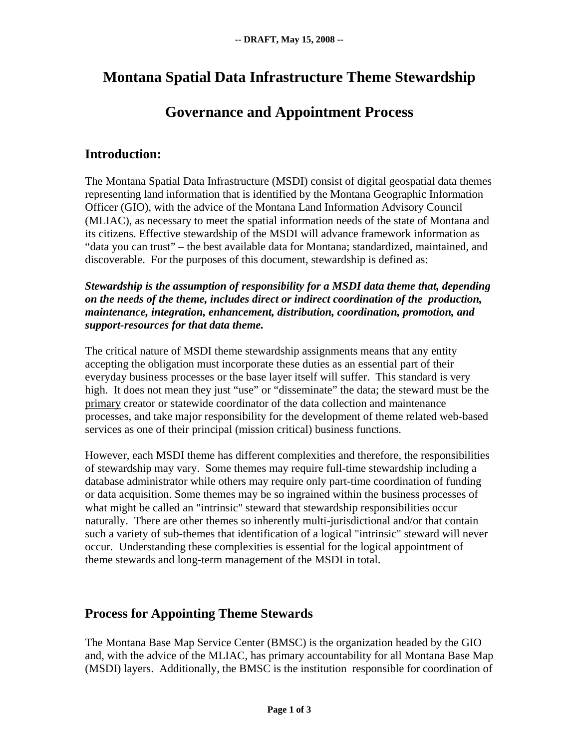## **Montana Spatial Data Infrastructure Theme Stewardship**

# **Governance and Appointment Process**

### **Introduction:**

The Montana Spatial Data Infrastructure (MSDI) consist of digital geospatial data themes representing land information that is identified by the Montana Geographic Information Officer (GIO), with the advice of the Montana Land Information Advisory Council (MLIAC), as necessary to meet the spatial information needs of the state of Montana and its citizens. Effective stewardship of the MSDI will advance framework information as "data you can trust" – the best available data for Montana; standardized, maintained, and discoverable. For the purposes of this document, stewardship is defined as:

*Stewardship is the assumption of responsibility for a MSDI data theme that, depending on the needs of the theme, includes direct or indirect coordination of the production, maintenance, integration, enhancement, distribution, coordination, promotion, and support-resources for that data theme.* 

The critical nature of MSDI theme stewardship assignments means that any entity accepting the obligation must incorporate these duties as an essential part of their everyday business processes or the base layer itself will suffer. This standard is very high. It does not mean they just "use" or "disseminate" the data; the steward must be the primary creator or statewide coordinator of the data collection and maintenance processes, and take major responsibility for the development of theme related web-based services as one of their principal (mission critical) business functions.

However, each MSDI theme has different complexities and therefore, the responsibilities of stewardship may vary. Some themes may require full-time stewardship including a database administrator while others may require only part-time coordination of funding or data acquisition. Some themes may be so ingrained within the business processes of what might be called an "intrinsic" steward that stewardship responsibilities occur naturally. There are other themes so inherently multi-jurisdictional and/or that contain such a variety of sub-themes that identification of a logical "intrinsic" steward will never occur. Understanding these complexities is essential for the logical appointment of theme stewards and long-term management of the MSDI in total.

### **Process for Appointing Theme Stewards**

The Montana Base Map Service Center (BMSC) is the organization headed by the GIO and, with the advice of the MLIAC, has primary accountability for all Montana Base Map (MSDI) layers. Additionally, the BMSC is the institution responsible for coordination of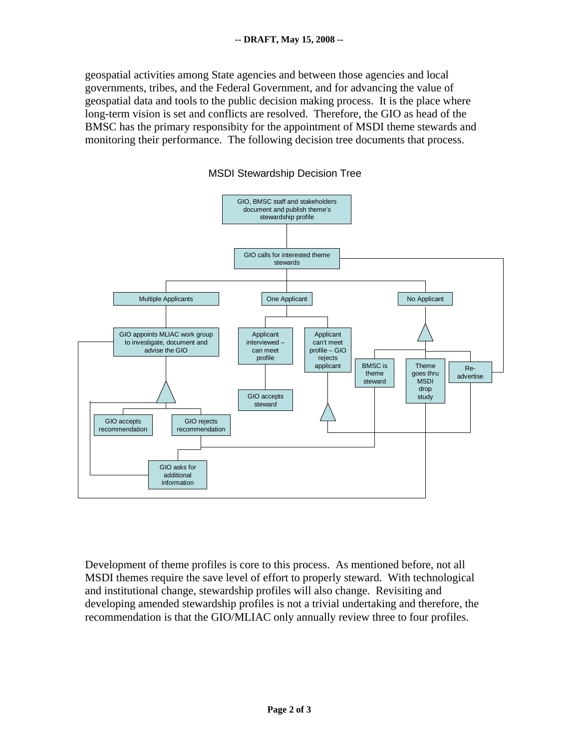geospatial activities among State agencies and between those agencies and local governments, tribes, and the Federal Government, and for advancing the value of geospatial data and tools to the public decision making process. It is the place where long-term vision is set and conflicts are resolved. Therefore, the GIO as head of the BMSC has the primary responsibity for the appointment of MSDI theme stewards and monitoring their performance. The following decision tree documents that process.





Development of theme profiles is core to this process. As mentioned before, not all MSDI themes require the save level of effort to properly steward. With technological and institutional change, stewardship profiles will also change. Revisiting and developing amended stewardship profiles is not a trivial undertaking and therefore, the recommendation is that the GIO/MLIAC only annually review three to four profiles.